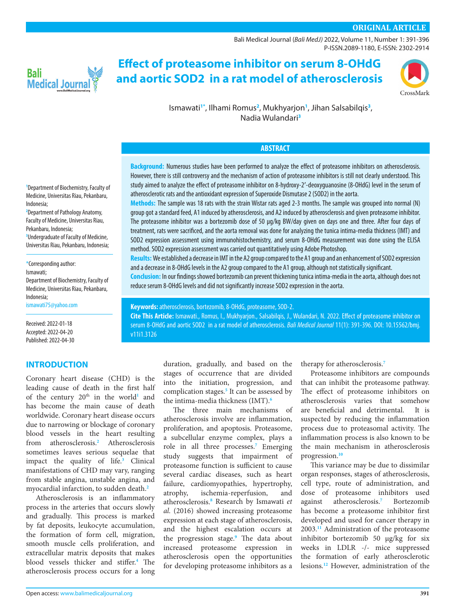# **ORIGINAL ARTICLE**

[Bali Medical Journal](http://www.balimedicaljournal.org/) (*Bali MedJ)* 2022, Volume 11, Number 1: 391-396 P-ISSN.2089-1180, E-ISSN: 2302-2914



# **Effect of proteasome inhibitor on serum 8-OHdG and aortic SOD2 in a rat model of atherosclerosis**



Ismawati**[1](#page-0-0)[\\*](#page-0-1)** , Ilhami Romus**[2](#page-0-2)** , Mukhyarjon**[1](#page-0-0)** , Jihan Salsabilqis**[3](#page-0-3)** , Nadia Wulandari**[3](#page-0-3)**

#### **ABSTRACT**

**Background:** Numerous studies have been performed to analyze the effect of proteasome inhibitors on atherosclerosis. However, there is still controversy and the mechanism of action of proteasome inhibitors is still not clearly understood. This study aimed to analyze the effect of proteasome inhibitor on 8-hydroxy-2′-deoxyguanosine (8-OHdG) level in the serum of atherosclerotic rats and the antioxidant expression of Superoxide Dismutase 2 (SOD2) in the aorta.

**Methods:** The sample was 18 rats with the strain Wistar rats aged 2-3 months. The sample was grouped into normal (N) group got a standard feed, A1 induced by atherosclerosis, and A2 induced by atherosclerosis and given proteasome inhibitor. The proteasome inhibitor was a bortezomib dose of 50 µg/kg BW/day given on days one and three. After four days of treatment, rats were sacrificed, and the aorta removal was done for analyzing the tunica intima-media thickness (IMT) and SOD2 expression assessment using immunohistochemistry, and serum 8-OHdG measurement was done using the ELISA method. SOD2 expression assessment was carried out quantitatively using Adobe Photoshop.

**Results:** We established a decrease in IMT in the A2 group compared to the A1 group and an enhancement of SOD2 expression and a decrease in 8-OHdG levels in the A2 group compared to the A1 group, although not statistically significant.

**Conclusion:** In our findings showed bortezomib can prevent thickening tunica intima-media in the aorta, although does not reduce serum 8-OHdG levels and did not significantly increase SOD2 expression in the aorta.

**Keywords:** atherosclerosis, bortezomib, 8-OHdG, proteasome, SOD-2. **Cite This Article:** Ismawati., Romus, I., Mukhyarjon., Salsabilqis, J., Wulandari, N. 2022. Effect of proteasome inhibitor on

serum 8-OHdG and aortic SOD2 in a rat model of atherosclerosis. *Bali Medical Journal* 11(1): 391-396. DOI: [10.15562/bmj.](http://dx.doi.org/10.15562/bmj.v11i1.3126) [v11i1.3126](http://dx.doi.org/10.15562/bmj.v11i1.3126)

> duration, gradually, and based on the stages of occurrence that are divided into the initiation, progression, and complication stages.**[5](#page-4-3)** It can be assessed by the intima-media thickness (IMT).**[6](#page-4-4)**

> The three main mechanisms of atherosclerosis involve are inflammation, proliferation, and apoptosis. Proteasome, a subcellular enzyme complex, plays a role in all three processes.**[7](#page-4-5)** Emerging study suggests that impairment of proteasome function is sufficient to cause several cardiac diseases, such as heart failure, cardiomyopathies, hypertrophy, atrophy, ischemia-reperfusion, and atherosclerosis.**[8](#page-4-6)** Research by Ismawati *et al.* (2016) showed increasing proteasome expression at each stage of atherosclerosis, and the highest escalation occurs at the progression stage.**[9](#page-4-7)** The data about increased proteasome expression in atherosclerosis open the opportunities for developing proteasome inhibitors as a

therapy for atherosclerosis.**[7](#page-4-5)**

Proteasome inhibitors are compounds that can inhibit the proteasome pathway. The effect of proteasome inhibitors on atherosclerosis varies that somehow<br>are beneficial and detrimental It is are beneficial and detrimental. suspected by reducing the inflammation process due to proteasomal activity. The inflammation process is also known to be the main mechanism in atherosclerosis progression.**[10](#page-4-8)**

This variance may be due to dissimilar organ responses, stages of atherosclerosis, cell type, route of administration, and dose of proteasome inhibitors used against atherosclerosis.**[7](#page-4-5)** Bortezomib has become a proteasome inhibitor first developed and used for cancer therapy in 2003.**[11](#page-4-9)** Administration of the proteasome inhibitor bortezomib 50 µg/kg for six weeks in LDLR -/- mice suppressed the formation of early atherosclerotic lesions.**[12](#page-4-10)** However, administration of the

<span id="page-0-0"></span>**1** Department of Biochemistry, Faculty of Medicine, Universitas Riau, Pekanbaru, Indonesia;

<span id="page-0-2"></span>**2** Department of Pathology Anatomy, Faculty of Medicine, Universitas Riau, Pekanbaru, Indonesia;

<span id="page-0-3"></span>**3** Undergraduate of Faculty of Medicine, Universitas Riau, Pekanbaru, Indonesia;

<span id="page-0-1"></span>\*Corresponding author: Ismawati; Department of Biochemistry, Faculty of Medicine, Universitas Riau, Pekanbaru, Indonesia; [ismawati75@yahoo.com](mailto:ismawati75%40yahoo.com?subject=)

Received: 2022-01-18 Accepted: 2022-04-20 Published: 2022-04-30

#### **INTRODUCTION**

Coronary heart disease (CHD) is the leading cause of death in the first half of the century 20<sup>th</sup> in the world<sup>[1](#page-4-0)</sup> and has become the main cause of death worldwide. Coronary heart disease occurs due to narrowing or blockage of coronary blood vessels in the heart resulting from atherosclerosis.**[2](#page-0-2)** Atherosclerosis sometimes leaves serious sequelae that impact the quality of life.**[3](#page-4-1)** Clinical manifestations of CHD may vary, ranging from stable angina, unstable angina, and myocardial infarction, to sudden death.**[2](#page-0-2)**

Atherosclerosis is an inflammatory process in the arteries that occurs slowly and gradually. This process is marked by fat deposits, leukocyte accumulation, the formation of form cell, migration, smooth muscle cells proliferation, and extracellular matrix deposits that makes blood vessels thicker and stiffer.**[4](#page-4-2)** The atherosclerosis process occurs for a long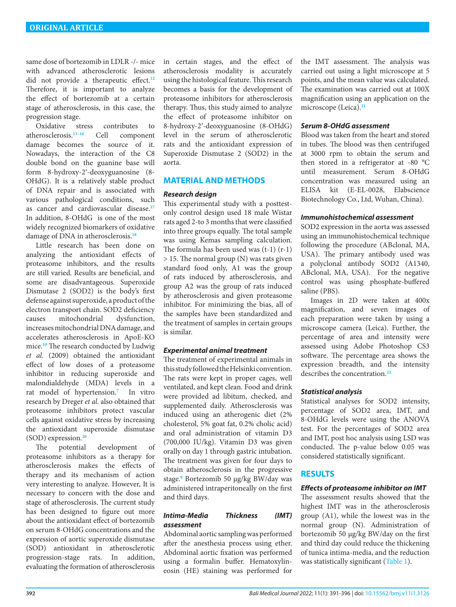same dose of bortezomib in LDLR -/- mice with advanced atherosclerotic lesions did not provide a therapeutic effect.**[12](#page-4-10)** Therefore, it is important to analyze the effect of bortezomib at a certain stage of atherosclerosis, in this case, the progression stage.<br>Oxidative stress

contributes to atherosclerosis.**[13](#page-4-11)[–16](#page-4-12)** Cell component damage becomes the source of it. Nowadays, the interaction of the C8 double bond on the guanine base will form 8-hydroxy-2′-deoxyguanosine (8- OHdG). It is a relatively stable product of DNA repair and is associated with various pathological conditions, such as cancer and cardiovascular disease.**[17](#page-5-2)** In addition, 8-OHdG is one of the most widely recognized biomarkers of oxidative damage of DNA in atherosclerosis.**[18](#page-5-3)**

Little research has been done on analyzing the antioxidant effects of proteasome inhibitors, and the results are still varied. Results are beneficial, and some are disadvantageous. Superoxide Dismutase 2 (SOD2) is the body's first defense against superoxide, a product of the electron transport chain. SOD2 deficiency causes mitochondrial dysfunction, increases mitochondrial DNA damage, and accelerates atherosclerosis in ApoE-KO mice.**[19](#page-5-4)** The research conducted by Ludwig *et al.* (2009) obtained the antioxidant effect of low doses of a proteasome inhibitor in reducing superoxide and malondialdehyde (MDA) levels in a rat model of hypertension.**[7](#page-4-5)** In vitro research by Dreger *et al.* also obtained that proteasome inhibitors protect vascular cells against oxidative stress by increasing the antioxidant superoxide dismutase (SOD) expression.**[20](#page-0-1)**

The potential development of proteasome inhibitors as a therapy for atherosclerosis makes the effects of therapy and its mechanism of action very interesting to analyze. However, It is necessary to concern with the dose and stage of atherosclerosis. The current study has been designed to figure out more about the antioxidant effect of bortezomib on serum 8-OHdG concentrations and the expression of aortic superoxide dismutase (SOD) antioxidant in atherosclerotic progression-stage rats. In addition, evaluating the formation of atherosclerosis

in certain stages, and the effect of atherosclerosis modality is accurately using the histological feature. This research becomes a basis for the development of proteasome inhibitors for atherosclerosis therapy. Thus, this study aimed to analyze the effect of proteasome inhibitor on 8-hydroxy-2′-deoxyguanosine (8-OHdG) level in the serum of atherosclerotic rats and the antioxidant expression of Superoxide Dismutase 2 (SOD2) in the aorta.

## **MATERIAL AND METHODS**

#### *Research design*

This experimental study with a posttestonly control design used 18 male Wistar rats aged 2-to 3 months that were classified into three groups equally. The total sample was using Kemas sampling calculation. The formula has been used was (t-1) (r-1) > 15. The normal group (N) was rats given standard food only, A1 was the group of rats induced by atherosclerosis, and group A2 was the group of rats induced by atherosclerosis and given proteasome inhibitor. For minimizing the bias, all of the samples have been standardized and the treatment of samples in certain groups is similar.

#### *Experimental animal treatment*

The treatment of experimental animals in this study followed the Helsinki convention. The rats were kept in proper cages, well ventilated, and kept clean. Food and drink were provided ad libitum, checked, and supplemented daily. Atherosclerosis was induced using an atherogenic diet (2% cholesterol, 5% goat fat, 0.2% cholic acid) and oral administration of vitamin D3 (700,000 IU/kg). Vitamin D3 was given orally on day 1 through gastric intubation. The treatment was given for four days to obtain atherosclerosis in the progressive stage.**[9](#page-4-7)** Bortezomib 50 µg/kg BW/day was administered intraperitoneally on the first and third days.

# *Intima-Media Thickness (IMT) assessment*

Abdominal aortic sampling was performed after the anesthesia process using ether. Abdominal aortic fixation was performed using a formalin buffer. Hematoxylineosin (HE) staining was performed for the IMT assessment. The analysis was carried out using a light microscope at 5 points, and the mean value was calculated. The examination was carried out at 100X magnification using an application on the microscope (Leica).**[21](#page-5-0)**

#### *Serum 8-OHdG assessment*

Blood was taken from the heart and stored in tubes. The blood was then centrifuged at 3000 rpm to obtain the serum and then stored in a refrigerator at -80 °C until measurement. Serum 8-OHdG concentration was measured using an ELISA kit (E-EL-0028, Elabscience Biotechnology Co., Ltd, Wuhan, China).

#### *Immunohistochemical assessment*

SOD2 expression in the aorta was assessed using an immunohistochemical technique following the procedure (ABclonal, MA, USA). The primary antibody used was a polyclonal antibody SOD2 (A1340, ABclonal, MA, USA). For the negative control was using phosphate-buffered saline (PBS).

Images in 2D were taken at 400x magnification, and seven images of each preparation were taken by using a microscope camera (Leica). Further, the percentage of area and intensity were assessed using Adobe Photoshop CS3 software. The percentage area shows the expression breadth, and the intensity describes the concentration<sup>[22](#page-5-1)</sup>

#### *Statistical analysis*

Statistical analyses for SOD2 intensity, percentage of SOD2 area, IMT, and 8-OHdG levels were using the ANOVA test. For the percentages of SOD2 area and IMT, post hoc analysis using LSD was conducted. The p-value below 0.05 was considered statistically significant.

#### **RESULTS**

#### *Effects of proteasome inhibitor on IMT*

The assessment results showed that the highest IMT was in the atherosclerosis group (A1), while the lowest was in the normal group (N). Administration of bortezomib 50 µg/kg BW/day on the first and third day could reduce the thickening of tunica intima-media, and the reduction was statistically significant [\(Table 1\)](#page-2-0).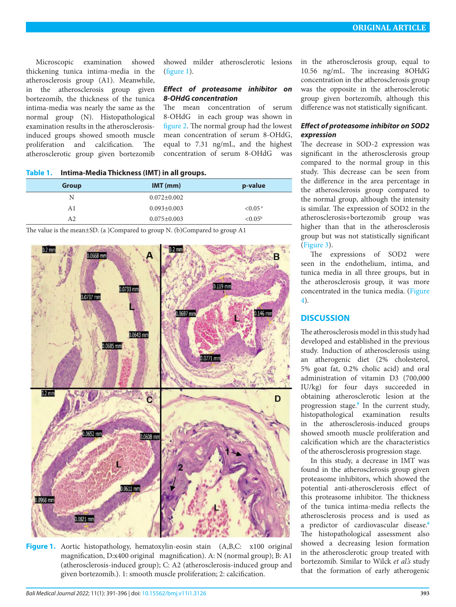Microscopic examination showed thickening tunica intima-media in the atherosclerosis group (A1). Meanwhile, in the atherosclerosis group given bortezomib, the thickness of the tunica intima-media was nearly the same as the normal group (N). Histopathological examination results in the atherosclerosisinduced groups showed smooth muscle proliferation and calcification. The atherosclerotic group given bortezomib

showed milder atherosclerotic lesions [\(figure 1](#page-2-1)).

#### *Effect of proteasome inhibitor on 8-OHdG concentration*

The mean concentration of serum 8-OHdG in each group was shown in [figure 2.](#page-3-1) The normal group had the lowest mean concentration of serum 8-OHdG, equal to 7.31 ng/mL, and the highest concentration of serum 8-OHdG was

<span id="page-2-0"></span>**Table 1. Intima-Media Thickness (IMT) in all groups.**

| <b>Group</b> | $IMT$ (mm)        | p-value                |
|--------------|-------------------|------------------------|
| N            | $0.072 \pm 0.002$ |                        |
| A1           | $0.093 \pm 0.003$ | ${<}0.05^{\mathrm{a}}$ |
| A2           | $0.075 \pm 0.003$ | $< 0.05^{\rm b}$       |

The value is the mean±SD. (a )Compared to group N. (b)Compared to group A1



<span id="page-2-1"></span>Figure 1. Aortic histopathology, hematoxylin-eosin stain (A,B,C: x100 original magnification, D:x400 original magnification). A: N (normal group); B: A1 (atherosclerosis-induced group); C: A2 (atherosclerosis-induced group and given bortezomib.). 1: smooth muscle proliferation; 2: calcification.

in the atherosclerosis group, equal to 10.56 ng/mL. The increasing 8OHdG concentration in the atherosclerosis group was the opposite in the atherosclerotic group given bortezomib, although this difference was not statistically significant.

# *Effect of proteasome inhibitor on SOD2 expression*

The decrease in SOD-2 expression was significant in the atherosclerosis group compared to the normal group in this study. This decrease can be seen from the difference in the area percentage in the atherosclerosis group compared to the normal group, although the intensity is similar. The expression of SOD2 in the atherosclerosis+bortezomib group was higher than that in the atherosclerosis group but was not statistically significant ([Figure 3](#page-3-0)).

The expressions of SOD2 were seen in the endothelium, intima, and tunica media in all three groups, but in the atherosclerosis group, it was more concentrated in the tunica media. [\(Figure](#page-4-13) [4\)](#page-4-13).

# **DISCUSSION**

The atherosclerosis model in this study had developed and established in the previous study. Induction of atherosclerosis using an atherogenic diet (2% cholesterol, 5% goat fat, 0.2% cholic acid) and oral administration of vitamin D3 (700,000 IU/kg) for four days succeeded in obtaining atherosclerotic lesion at the progression stage.**[9](#page-4-7)** In the current study, histopathological examination results in the atherosclerosis-induced groups showed smooth muscle proliferation and calcification which are the characteristics of the atherosclerosis progression stage.

In this study, a decrease in IMT was found in the atherosclerosis group given proteasome inhibitors, which showed the potential anti-atherosclerosis effect of this proteasome inhibitor. The thickness of the tunica intima-media reflects the atherosclerosis process and is used as a predictor of cardiovascular disease.**[6](#page-4-4)** The histopathological assessment also showed a decreasing lesion formation in the atherosclerotic group treated with bortezomib. Similar to Wilck *et al.'s* study that the formation of early atherogenic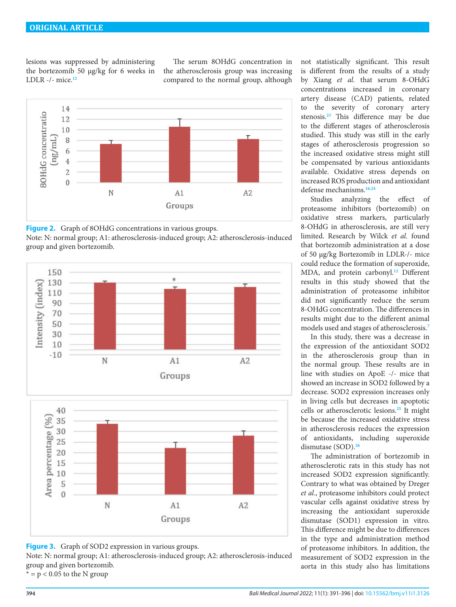lesions was suppressed by administering the bortezomib 50 µg/kg for 6 weeks in LDLR -/- mice.**[12](#page-4-10)**

The serum 8OHdG concentration in the atherosclerosis group was increasing compared to the normal group, although



<span id="page-3-1"></span>**Figure 2.** Graph of 8OHdG concentrations in various groups.

Note: N: normal group; A1: atherosclerosis-induced group; A2: atherosclerosis-induced group and given bortezomib.



<span id="page-3-0"></span>

Note: N: normal group; A1: atherosclerosis-induced group; A2: atherosclerosis-induced group and given bortezomib.

 $* = p < 0.05$  to the N group

not statistically significant. This result is different from the results of a study by Xiang *et al.* that serum 8-OHdG concentrations increased in coronary artery disease (CAD) patients, related to the severity of coronary artery stenosis.**[23](#page-5-5)** This difference may be due to the different stages of atherosclerosis studied. This study was still in the early stages of atherosclerosis progression so the increased oxidative stress might still be compensated by various antioxidants available. Oxidative stress depends on increased ROS production and antioxidant defense mechanisms.**[16](#page-4-12),[24](#page-5-6)**

Studies analyzing the effect of proteasome inhibitors (bortezomib) on oxidative stress markers, particularly 8-OHdG in atherosclerosis, are still very limited. Research by Wilck *et al.* found that bortezomib administration at a dose of 50 µg/kg Bortezomib in LDLR-/- mice could reduce the formation of superoxide, MDA, and protein carbonyl.**[12](#page-4-10)** Different results in this study showed that the administration of proteasome inhibitor did not significantly reduce the serum 8-OHdG concentration. The differences in results might due to the different animal models used and stages of atherosclerosis.**[7](#page-4-12)**

In this study, there was a decrease in the expression of the antioxidant SOD2 in the atherosclerosis group than in the normal group. These results are in line with studies on ApoE -/- mice that showed an increase in SOD2 followed by a decrease. SOD2 expression increases only in living cells but decreases in apoptotic cells or atherosclerotic lesions.**[25](#page-5-7)** It might be because the increased oxidative stress in atherosclerosis reduces the expression of antioxidants, including superoxide dismutase (SOD).**[26](#page-5-8)**

The administration of bortezomib in atherosclerotic rats in this study has not increased SOD2 expression significantly. Contrary to what was obtained by Dreger *et al*., proteasome inhibitors could protect vascular cells against oxidative stress by increasing the antioxidant superoxide dismutase (SOD1) expression in vitro. This difference might be due to differences in the type and administration method of proteasome inhibitors. In addition, the measurement of SOD2 expression in the aorta in this study also has limitations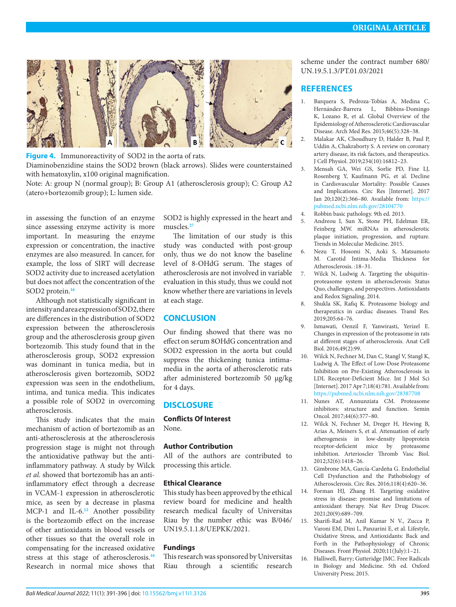

<span id="page-4-13"></span>**Figure 4.** Immunoreactivity of SOD2 in the aorta of rats.

Diaminobenzidine stains the SOD2 brown (black arrows). Slides were counterstained with hematoxylin, x100 original magnification.

Note: A: group N (normal group); B: Group A1 (atherosclerosis group); C: Group A2 (atero+bortezomib group); L: lumen side.

in assessing the function of an enzyme since assessing enzyme activity is more important. In measuring the enzyme expression or concentration, the inactive enzymes are also measured. In cancer, for example, the loss of SIRT will decrease SOD2 activity due to increased acetylation but does not affect the concentration of the SOD2 protein.**[16](#page-4-12)**

Although not statistically significant in intensity and area expression of SOD2, there are differences in the distribution of SOD2 expression between the atherosclerosis group and the atherosclerosis group given bortezomib. This study found that in the atherosclerosis group, SOD2 expression was dominant in tunica media, but in atherosclerosis given bortezomib, SOD2 expression was seen in the endothelium, intima, and tunica media. This indicates a possible role of SOD2 in overcoming atherosclerosis.

This study indicates that the main mechanism of action of bortezomib as an anti-atherosclerosis at the atherosclerosis progression stage is might not through the antioxidative pathway but the antiinflammatory pathway. A study by Wilck *et al.* showed that bortezomib has an antiinflammatory effect through a decrease in VCAM-1 expression in atherosclerotic mice, as seen by a decrease in plasma MCP-1 and IL-6.**[12](#page-4-10)** Another possibility is the bortezomib effect on the increase of other antioxidants in blood vessels or other tissues so that the overall role in compensating for the increased oxidative stress at this stage of atherosclerosis.**[16](#page-4-12)** Research in normal mice shows that

SOD2 is highly expressed in the heart and muscles.**[27](#page-5-9)**

The limitation of our study is this study was conducted with post-group only, thus we do not know the baseline level of 8-OHdG serum. The stages of atherosclerosis are not involved in variable evaluation in this study, thus we could not know whether there are variations in levels at each stage.

#### **CONCLUSION**

Our finding showed that there was no effect on serum 8OHdG concentration and SOD2 expression in the aorta but could suppress the thickening tunica intimamedia in the aorta of atherosclerotic rats after administered bortezomib 50 µg/kg for 4 days.

# **DISCLOSURE**

**Conflicts Of Interest** None.

#### **Author Contribution**

All of the authors are contributed to processing this article.

#### **Ethical Clearance**

This study has been approved by the ethical review board for medicine and health research medical faculty of Universitas Riau by the number ethic was B/046/ UN19.5.1.1.8/UEPKK/2021.

#### **Fundings**

This research was sponsored by Universitas Riau through a scientific research scheme under the contract number 680/ UN.19.5.1.3/PT.01.03/2021

#### **REFERENCES**

- <span id="page-4-0"></span>1. Barquera S, Pedroza-Tobías A, Medina C, Hernández-Barrera L, Bibbins-Domingo K, Lozano R, et al. Global Overview of the Epidemiology of Atherosclerotic Cardiovascular Disease. Arch Med Res. 2015;46(5):328–38.
- 2. Malakar AK, Choudhury D, Halder B, Paul P, Uddin A, Chakraborty S. A review on coronary artery disease, its risk factors, and therapeutics. J Cell Physiol. 2019;234(10):16812–23.
- <span id="page-4-1"></span>3. Mensah GA, Wei GS, Sorlie PD, Fine LJ, Rosenberg Y, Kaufmann PG, et al. Decline in Cardiovascular Mortality: Possible Causes and Implications. Circ Res [Internet]. 2017 Jan 20;120(2):366–80. Available from: [https://](https://pubmed.ncbi.nlm.nih.gov/28104770) [pubmed.ncbi.nlm.nih.gov/28104770](https://pubmed.ncbi.nlm.nih.gov/28104770)
	- 4. Robbin basic pathology. 9th ed. 2013.
- <span id="page-4-3"></span><span id="page-4-2"></span>5. Andreou I, Sun X, Stone PH, Edelman ER, Feinberg MW. miRNAs in atherosclerotic plaque initiation, progression, and rupture. Trends in Molecular Medicine. 2015.
- <span id="page-4-4"></span>6. Nezu T, Hosomi N, Aoki S, Matsumoto M. Carotid Intima-Media Thickness for Atherosclerosis. :18–31.
- <span id="page-4-5"></span>7. Wilck N, Ludwig A. Targeting the ubiquitinproteasome system in atherosclerosis: Status Quo, challenges, and perspectives. Antioxidants and Redox Signaling. 2014.
- <span id="page-4-6"></span>8. Shukla SK, Rafiq K. Proteasome biology and therapeutics in cardiac diseases. Transl Res. 2019;205:64–76.
- <span id="page-4-7"></span>9. Ismawati, Oenzil F, Yanwirasti, Yerizel E. Changes in expression of the proteasome in rats at different stages of atherosclerosis. Anat Cell Biol. 2016;49(2):99.
- <span id="page-4-8"></span>10. Wilck N, Fechner M, Dan C, Stangl V, Stangl K, Ludwig A. The Effect of Low-Dose Proteasome Inhibition on Pre-Existing Atherosclerosis in LDL Receptor-Deficient Mice. Int J Mol Sci [Internet]. 2017 Apr 7;18(4):781. Available from: <https://pubmed.ncbi.nlm.nih.gov/28387708>
- <span id="page-4-9"></span>11. Nunes AT, Annunziata CM. Proteasome inhibitors: structure and function. Semin Oncol. 2017;44(6):377–80.
- <span id="page-4-10"></span>12. Wilck N, Fechner M, Dreger H, Hewing B, Arias A, Meiners S, et al. Attenuation of early atherogenesis in low-density lipoprotein receptor-deficient mice by proteasome inhibition. Arterioscler Thromb Vasc Biol. 2012;32(6):1418–26.
- <span id="page-4-11"></span>13. Gimbrone MA, García-Cardeña G. Endothelial Cell Dysfunction and the Pathobiology of Atherosclerosis. Circ Res. 2016;118(4):620–36.
- 14. Forman HJ, Zhang H. Targeting oxidative stress in disease: promise and limitations of antioxidant therapy. Nat Rev Drug Discov. 2021;20(9):689–709.
- 15. Sharifi-Rad M, Anil Kumar N V., Zucca P, Varoni EM, Dini L, Panzarini E, et al. Lifestyle, Oxidative Stress, and Antioxidants: Back and Forth in the Pathophysiology of Chronic Diseases. Front Physiol. 2020;11(July):1–21.
- <span id="page-4-12"></span>16. Halliwell, Barry; Gutteridge JMC. Free Radicals in Biology and Medicine. 5th ed. Oxford University Press; 2015.